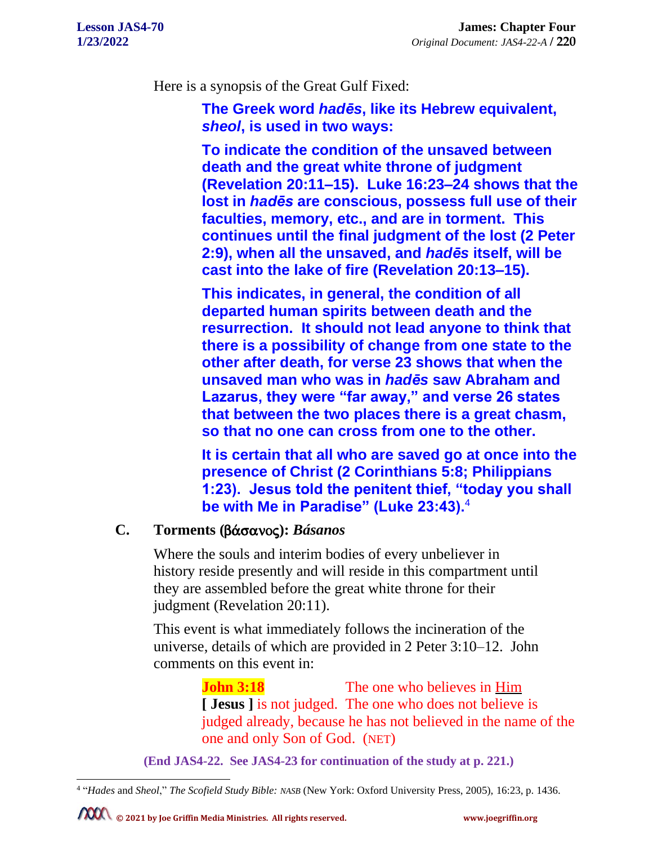Here is a synopsis of the Great Gulf Fixed:

**The Greek word** *hadēs***, like its Hebrew equivalent,**  *sheol***, is used in two ways:**

**To indicate the condition of the unsaved between death and the great white throne of judgment (Revelation 20:11–15). Luke 16:23–24 shows that the lost in** *hadēs* **are conscious, possess full use of their faculties, memory, etc., and are in torment. This continues until the final judgment of the lost (2 Peter 2:9), when all the unsaved, and** *hadēs* **itself, will be cast into the lake of fire (Revelation 20:13–15).**

**This indicates, in general, the condition of all departed human spirits between death and the resurrection. It should not lead anyone to think that there is a possibility of change from one state to the other after death, for verse 23 shows that when the unsaved man who was in** *hadēs* **saw Abraham and Lazarus, they were "far away," and verse 26 states that between the two places there is a great chasm, so that no one can cross from one to the other.**

**It is certain that all who are saved go at once into the presence of Christ (2 Corinthians 5:8; Philippians 1:23). Jesus told the penitent thief, "today you shall be with Me in Paradise" (Luke 23:43).**<sup>4</sup>

## **C. Torments (**b£sanoj**):** *Básanos*

Where the souls and interim bodies of every unbeliever in history reside presently and will reside in this compartment until they are assembled before the great white throne for their judgment (Revelation 20:11).

This event is what immediately follows the incineration of the universe, details of which are provided in 2 Peter 3:10–12. John comments on this event in:

> **John 3:18** The one who believes in Him **[ Jesus ]** is not judged. The one who does not believe is judged already, because he has not believed in the name of the one and only Son of God. (NET)

**(End JAS4-22. See JAS4-23 for continuation of the study at p. 221.)**

<sup>4</sup> "*Hades* and *Sheol*," *The Scofield Study Bible: NASB* (New York: Oxford University Press, 2005), 16:23, p. 1436.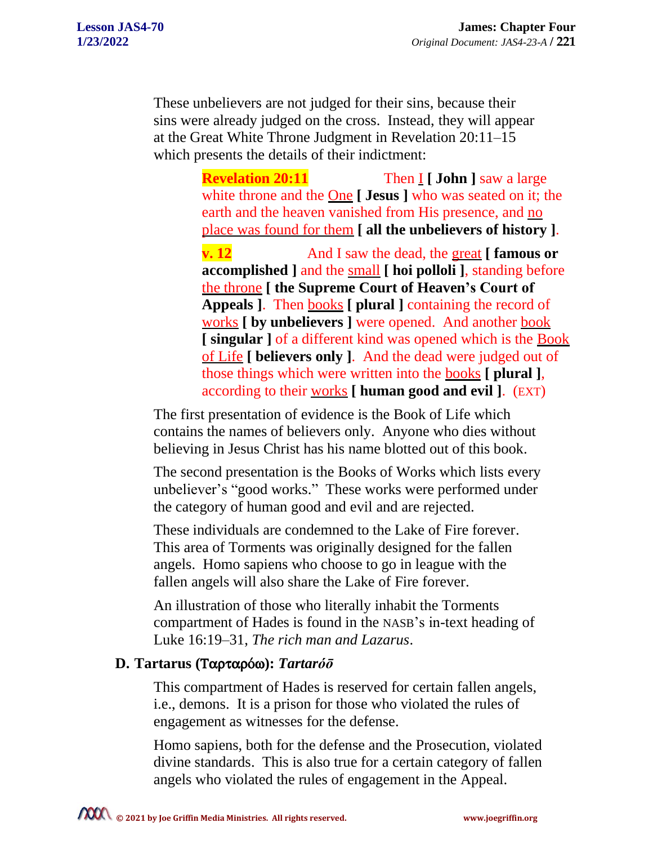These unbelievers are not judged for their sins, because their sins were already judged on the cross. Instead, they will appear at the Great White Throne Judgment in Revelation 20:11–15 which presents the details of their indictment:

> **Revelation 20:11** Then **I [ John ]** saw a large white throne and the One **[ Jesus ]** who was seated on it; the earth and the heaven vanished from His presence, and no place was found for them **[ all the unbelievers of history ]**.

**v. 12** And I saw the dead, the great **[ famous or accomplished ]** and the small **[ hoi polloli ]**, standing before the throne **[ the Supreme Court of Heaven's Court of Appeals ]**. Then books **[ plural ]** containing the record of works **[ by unbelievers ]** were opened. And another book **[ singular ]** of a different kind was opened which is the Book of Life **[ believers only ]**. And the dead were judged out of those things which were written into the books **[ plural ]**, according to their works **[ human good and evil ]**. (EXT)

The first presentation of evidence is the Book of Life which contains the names of believers only. Anyone who dies without believing in Jesus Christ has his name blotted out of this book.

The second presentation is the Books of Works which lists every unbeliever's "good works." These works were performed under the category of human good and evil and are rejected.

These individuals are condemned to the Lake of Fire forever. This area of Torments was originally designed for the fallen angels. Homo sapiens who choose to go in league with the fallen angels will also share the Lake of Fire forever.

An illustration of those who literally inhabit the Torments compartment of Hades is found in the NASB's in-text heading of Luke 16:19–31, *The rich man and Lazarus*.

## **D. Tartarus (**TartarÒw**):** *Tartaróō*

This compartment of Hades is reserved for certain fallen angels, i.e., demons. It is a prison for those who violated the rules of engagement as witnesses for the defense.

Homo sapiens, both for the defense and the Prosecution, violated divine standards. This is also true for a certain category of fallen angels who violated the rules of engagement in the Appeal.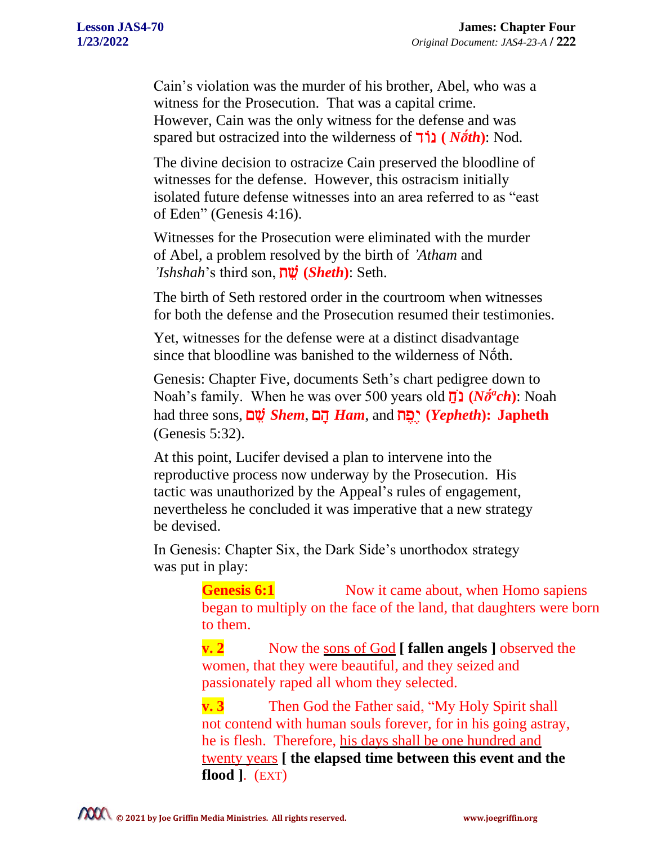Cain's violation was the murder of his brother, Abel, who was a witness for the Prosecution. That was a capital crime. However, Cain was the only witness for the defense and was spared but ostracized into the wilderness of  $\overline{\mathsf{11}}$  (*Noth*): Nod.

The divine decision to ostracize Cain preserved the bloodline of witnesses for the defense. However, this ostracism initially isolated future defense witnesses into an area referred to as "east of Eden" (Genesis 4:16).

Witnesses for the Prosecution were eliminated with the murder of Abel, a problem resolved by the birth of *'Atham* and *'Ishshah*'s third son, tv @ **(***Sheth***)**: Seth.

The birth of Seth restored order in the courtroom when witnesses for both the defense and the Prosecution resumed their testimonies.

Yet, witnesses for the defense were at a distinct disadvantage since that bloodline was banished to the wilderness of Nṓth.

Genesis: Chapter Five, documents Seth's chart pedigree down to Noah's family. When he was over 500 years old  $\vec{\mathbf{p}}$  (*No<sup>fa</sup>ch*): Noah had three sons, <u>יהוא *Shem*, הוא *Ham*, and הוא (*Yepheth*): Japheth</u> (Genesis 5:32).

At this point, Lucifer devised a plan to intervene into the reproductive process now underway by the Prosecution. His tactic was unauthorized by the Appeal's rules of engagement, nevertheless he concluded it was imperative that a new strategy be devised.

In Genesis: Chapter Six, the Dark Side's unorthodox strategy was put in play:

> **Genesis 6:1** Now it came about, when Homo sapiens began to multiply on the face of the land, that daughters were born to them.

**v. 2** Now the sons of God **[ fallen angels ]** observed the women, that they were beautiful, and they seized and passionately raped all whom they selected.

**v. 3** Then God the Father said, "My Holy Spirit shall not contend with human souls forever, for in his going astray, he is flesh. Therefore, his days shall be one hundred and twenty years **[ the elapsed time between this event and the flood ]**. (EXT)